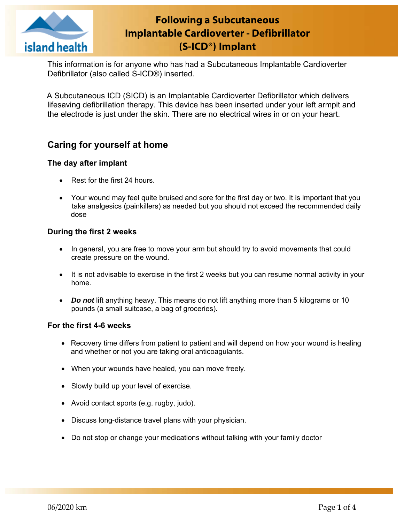

# **Following a Subcutaneous Implantable Cardioverter - Defibrillator (S-ICD®) Implant**

This information is for anyone who has had a Subcutaneous Implantable Cardioverter Defibrillator (also called S-ICD®) inserted.

 A Subcutaneous ICD (SICD) is an Implantable Cardioverter Defibrillator which delivers lifesaving defibrillation therapy. This device has been inserted under your left armpit and the electrode is just under the skin. There are no electrical wires in or on your heart.

# **Caring for yourself at home**

### **The day after implant**

- Rest for the first 24 hours.
- Your wound may feel quite bruised and sore for the first day or two. It is important that you take analgesics (painkillers) as needed but you should not exceed the recommended daily dose

### **During the first 2 weeks**

- In general, you are free to move your arm but should try to avoid movements that could create pressure on the wound.
- It is not advisable to exercise in the first 2 weeks but you can resume normal activity in your home.
- *Do not* lift anything heavy. This means do not lift anything more than 5 kilograms or 10 pounds (a small suitcase, a bag of groceries).

### **For the first 4-6 weeks**

- Recovery time differs from patient to patient and will depend on how your wound is healing and whether or not you are taking oral anticoagulants.
- When your wounds have healed, you can move freely.
- Slowly build up your level of exercise.
- Avoid contact sports (e.g. rugby, judo).
- Discuss long-distance travel plans with your physician.
- Do not stop or change your medications without talking with your family doctor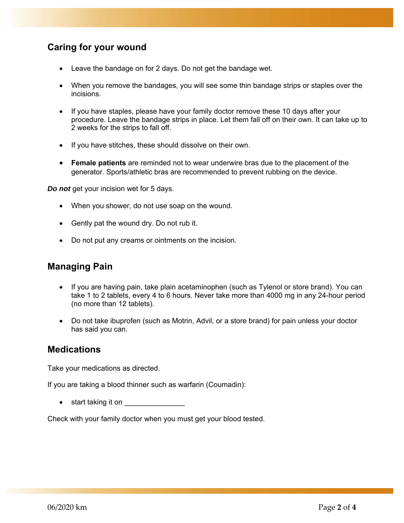# **Caring for your wound**

- Leave the bandage on for 2 days. Do not get the bandage wet.
- When you remove the bandages, you will see some thin bandage strips or staples over the incisions.
- If you have staples, please have your family doctor remove these 10 days after your procedure. Leave the bandage strips in place. Let them fall off on their own. It can take up to 2 weeks for the strips to fall off.
- If you have stitches, these should dissolve on their own.
- **Female patients** are reminded not to wear underwire bras due to the placement of the generator. Sports/athletic bras are recommended to prevent rubbing on the device.

*Do not* get your incision wet for 5 days.

- When you shower, do not use soap on the wound.
- Gently pat the wound dry. Do not rub it.
- Do not put any creams or ointments on the incision.

### **Managing Pain**

- If you are having pain, take plain acetaminophen (such as Tylenol or store brand). You can take 1 to 2 tablets, every 4 to 6 hours. Never take more than 4000 mg in any 24-hour period (no more than 12 tablets).
- Do not take ibuprofen (such as Motrin, Advil, or a store brand) for pain unless your doctor has said you can.

### **Medications**

Take your medications as directed.

If you are taking a blood thinner such as warfarin (Coumadin):

start taking it on \_\_\_\_\_\_\_\_\_\_\_\_\_\_\_

Check with your family doctor when you must get your blood tested.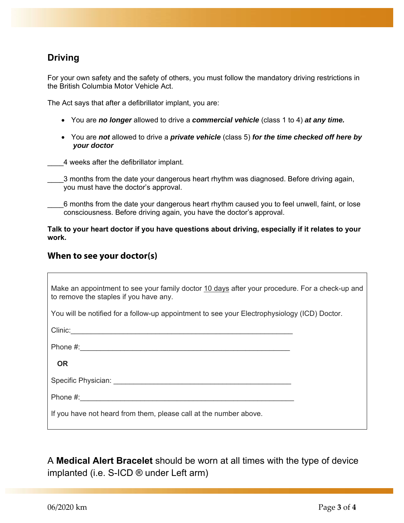# **Driving**

For your own safety and the safety of others, you must follow the mandatory driving restrictions in the British Columbia Motor Vehicle Act.

The Act says that after a defibrillator implant, you are:

- You are *no longer* allowed to drive a *commercial vehicle* (class 1 to 4) *at any time.*
- You are *not* allowed to drive a *private vehicle* (class 5) *for the time checked off here by your doctor*

\_\_\_\_4 weeks after the defibrillator implant.

\_\_\_\_3 months from the date your dangerous heart rhythm was diagnosed. Before driving again, you must have the doctor's approval.

6 months from the date your dangerous heart rhythm caused you to feel unwell, faint, or lose consciousness. Before driving again, you have the doctor's approval.

**Talk to your heart doctor if you have questions about driving, especially if it relates to your work.** 

### **When to see your doctor(s)**

| Make an appointment to see your family doctor 10 days after your procedure. For a check-up and<br>to remove the staples if you have any.                                                                                      |  |  |
|-------------------------------------------------------------------------------------------------------------------------------------------------------------------------------------------------------------------------------|--|--|
| You will be notified for a follow-up appointment to see your Electrophysiology (ICD) Doctor.                                                                                                                                  |  |  |
| Clinic: Clinic Contract Contract Contract Contract Contract Contract Contract Contract Contract Contract Contract Contract Contract Contract Contract Contract Contract Contract Contract Contract Contract Contract Contract |  |  |
|                                                                                                                                                                                                                               |  |  |
| <b>OR</b>                                                                                                                                                                                                                     |  |  |
| Specific Physician: New York Specific Physician:                                                                                                                                                                              |  |  |
|                                                                                                                                                                                                                               |  |  |
| If you have not heard from them, please call at the number above.                                                                                                                                                             |  |  |

A **Medical Alert Bracelet** should be worn at all times with the type of device implanted (i.e. S-ICD ® under Left arm)